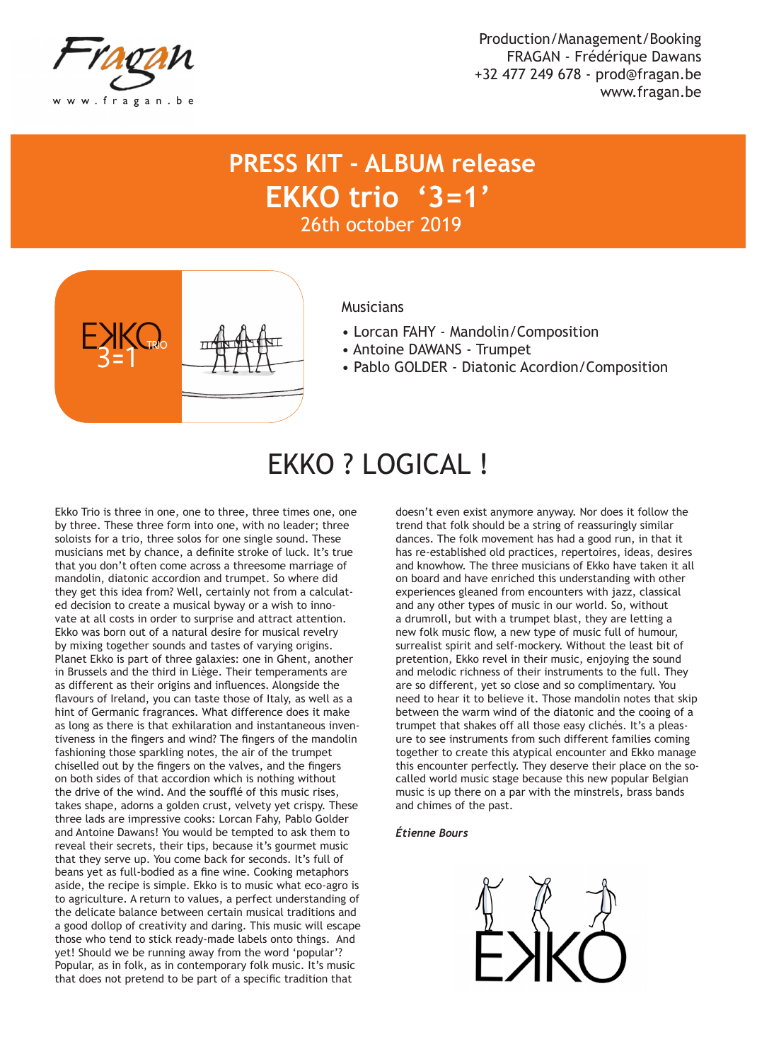

Production/Management/Booking FRAGAN - Frédérique Dawans +32 477 249 678 - prod@fragan.be www.fragan.be

### **PRESS KIT - ALBUM release EKKO trio '3=1'** 26th october 2019



### **Musicians**

- Lorcan FAHY Mandolin/Composition
- Antoine DAWANS Trumpet
- Pablo GOLDER Diatonic Acordion/Composition

# EKKO ? LOGICAL !

Ekko Trio is three in one, one to three, three times one, one by three. These three form into one, with no leader; three soloists for a trio, three solos for one single sound. These musicians met by chance, a definite stroke of luck. It's true that you don't often come across a threesome marriage of mandolin, diatonic accordion and trumpet. So where did they get this idea from? Well, certainly not from a calculated decision to create a musical byway or a wish to innovate at all costs in order to surprise and attract attention. Ekko was born out of a natural desire for musical revelry by mixing together sounds and tastes of varying origins. Planet Ekko is part of three galaxies: one in Ghent, another in Brussels and the third in Liège. Their temperaments are as different as their origins and influences. Alongside the flavours of Ireland, you can taste those of Italy, as well as a hint of Germanic fragrances. What difference does it make as long as there is that exhilaration and instantaneous inventiveness in the fingers and wind? The fingers of the mandolin fashioning those sparkling notes, the air of the trumpet chiselled out by the fingers on the valves, and the fingers on both sides of that accordion which is nothing without the drive of the wind. And the soufflé of this music rises, takes shape, adorns a golden crust, velvety yet crispy. These three lads are impressive cooks: Lorcan Fahy, Pablo Golder and Antoine Dawans! You would be tempted to ask them to reveal their secrets, their tips, because it's gourmet music that they serve up. You come back for seconds. It's full of beans yet as full-bodied as a fine wine. Cooking metaphors aside, the recipe is simple. Ekko is to music what eco-agro is to agriculture. A return to values, a perfect understanding of the delicate balance between certain musical traditions and a good dollop of creativity and daring. This music will escape those who tend to stick ready-made labels onto things. And yet! Should we be running away from the word 'popular'? Popular, as in folk, as in contemporary folk music. It's music that does not pretend to be part of a specific tradition that

doesn't even exist anymore anyway. Nor does it follow the trend that folk should be a string of reassuringly similar dances. The folk movement has had a good run, in that it has re-established old practices, repertoires, ideas, desires and knowhow. The three musicians of Ekko have taken it all on board and have enriched this understanding with other experiences gleaned from encounters with jazz, classical and any other types of music in our world. So, without a drumroll, but with a trumpet blast, they are letting a new folk music flow, a new type of music full of humour, surrealist spirit and self-mockery. Without the least bit of pretention, Ekko revel in their music, enjoying the sound and melodic richness of their instruments to the full. They are so different, yet so close and so complimentary. You need to hear it to believe it. Those mandolin notes that skip between the warm wind of the diatonic and the cooing of a trumpet that shakes off all those easy clichés. It's a pleasure to see instruments from such different families coming together to create this atypical encounter and Ekko manage this encounter perfectly. They deserve their place on the socalled world music stage because this new popular Belgian music is up there on a par with the minstrels, brass bands and chimes of the past.

#### *Étienne Bours*